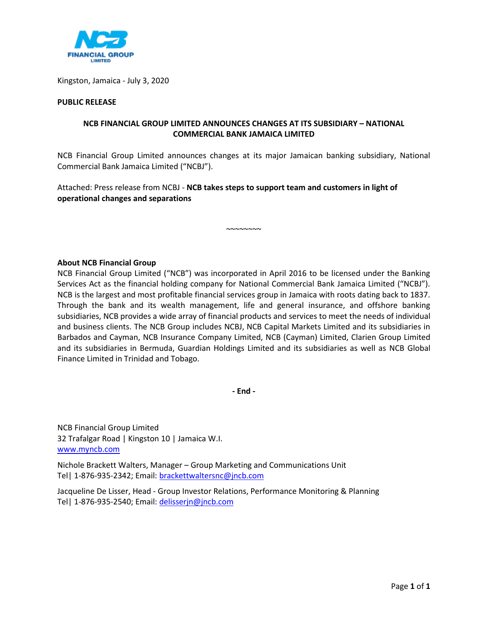

Kingston, Jamaica - July 3, 2020

## **PUBLIC RELEASE**

## **NCB FINANCIAL GROUP LIMITED ANNOUNCES CHANGES AT ITS SUBSIDIARY – NATIONAL COMMERCIAL BANK JAMAICA LIMITED**

NCB Financial Group Limited announces changes at its major Jamaican banking subsidiary, National Commercial Bank Jamaica Limited ("NCBJ").

~~~~~~~~

Attached: Press release from NCBJ - **NCB takes steps to support team and customers in light of operational changes and separations** 

## **About NCB Financial Group**

NCB Financial Group Limited ("NCB") was incorporated in April 2016 to be licensed under the Banking Services Act as the financial holding company for National Commercial Bank Jamaica Limited ("NCBJ"). NCB is the largest and most profitable financial services group in Jamaica with roots dating back to 1837. Through the bank and its wealth management, life and general insurance, and offshore banking subsidiaries, NCB provides a wide array of financial products and services to meet the needs of individual and business clients. The NCB Group includes NCBJ, NCB Capital Markets Limited and its subsidiaries in Barbados and Cayman, NCB Insurance Company Limited, NCB (Cayman) Limited, Clarien Group Limited and its subsidiaries in Bermuda, Guardian Holdings Limited and its subsidiaries as well as NCB Global Finance Limited in Trinidad and Tobago.

**- End -** 

NCB Financial Group Limited 32 Trafalgar Road | Kingston 10 | Jamaica W.I. [www.myncb.com](http://www.myncb.com/)

Nichole Brackett Walters, Manager – Group Marketing and Communications Unit Tel| 1-876-935-2342; Email[: brackettwaltersnc@jncb.com](mailto:brackettwaltersnc@jncb.com)

Jacqueline De Lisser, Head - Group Investor Relations, Performance Monitoring & Planning Tel| 1-876-935-2540; Email[: delisserjn@jncb.com](mailto:delisserjn@jncb.com)